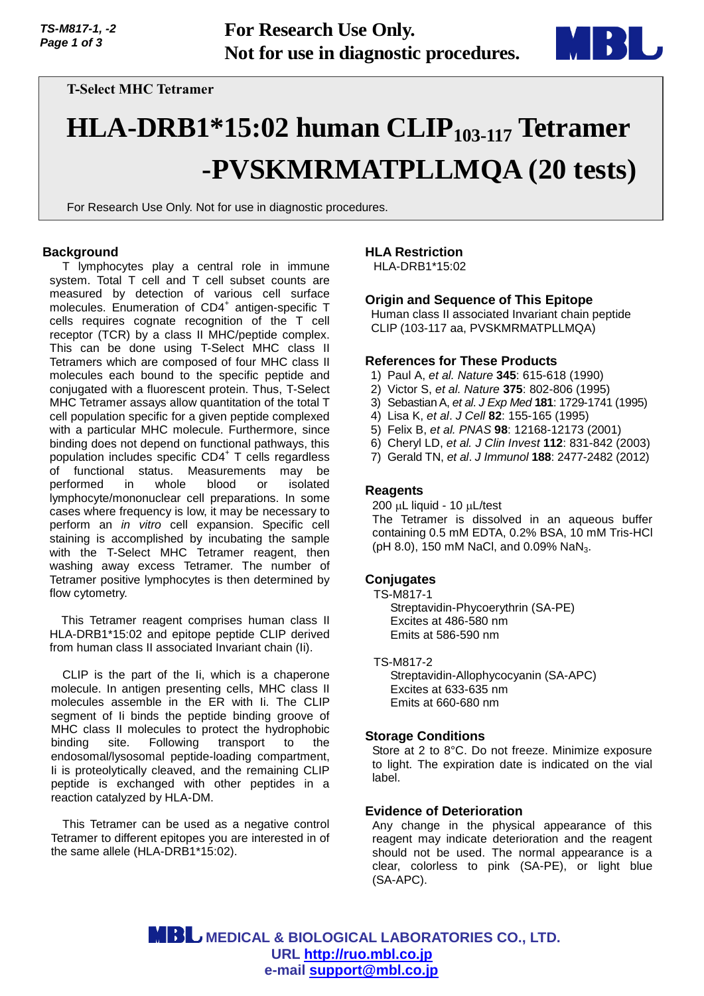

**T-Select MHC Tetramer**

# **HLA-DRB1\*15:02 human CLIP103-117 Tetramer -PVSKMRMATPLLMQA (20 tests)**

For Research Use Only. Not for use in diagnostic procedures.

## **Background**

T lymphocytes play a central role in immune system. Total T cell and T cell subset counts are measured by detection of various cell surface molecules. Enumeration of CD4<sup>+</sup> antigen-specific T cells requires cognate recognition of the T cell receptor (TCR) by a class II MHC/peptide complex. This can be done using T-Select MHC class II Tetramers which are composed of four MHC class II molecules each bound to the specific peptide and conjugated with a fluorescent protein. Thus, T-Select MHC Tetramer assays allow quantitation of the total T cell population specific for a given peptide complexed with a particular MHC molecule. Furthermore, since binding does not depend on functional pathways, this population includes specific CD4<sup>+</sup> T cells regardless of functional status. Measurements may be performed in whole blood or isolated lymphocyte/mononuclear cell preparations. In some cases where frequency is low, it may be necessary to perform an *in vitro* cell expansion. Specific cell staining is accomplished by incubating the sample with the T-Select MHC Tetramer reagent, then washing away excess Tetramer. The number of Tetramer positive lymphocytes is then determined by flow cytometry.

This Tetramer reagent comprises human class II HLA-DRB1\*15:02 and epitope peptide CLIP derived from human class II associated Invariant chain (Ii).

CLIP is the part of the Ii, which is a chaperone molecule. In antigen presenting cells, MHC class II molecules assemble in the ER with Ii. The CLIP segment of Ii binds the peptide binding groove of MHC class II molecules to protect the hydrophobic binding site. Following transport to the endosomal/lysosomal peptide-loading compartment, Ii is proteolytically cleaved, and the remaining CLIP peptide is exchanged with other peptides in a reaction catalyzed by HLA-DM.

This Tetramer can be used as a negative control Tetramer to different epitopes you are interested in of the same allele (HLA-DRB1\*15:02).

# **HLA Restriction**

HLA-DRB1\*15:02

# **Origin and Sequence of This Epitope**

Human class II associated Invariant chain peptide CLIP (103-117 aa, PVSKMRMATPLLMQA)

## **References for These Products**

- 1) Paul A, *et al. Nature* **345**: 615-618 (1990)
- 2) Victor S, *et al. Nature* **375**: 802-806 (1995)
- 3) Sebastian A, *et al*. *J Exp Med* **181**: 1729-1741 (1995)
- 4) Lisa K, *et al*. *J Cell* **82**: 155-165 (1995)
- 5) Felix B, *et al. PNAS* **98**: 12168-12173 (2001)
- 6) Cheryl LD, *et al. J Clin Invest* **112**: 831-842 (2003)
- 7) Gerald TN, *et al*. *J Immunol* **188**: 2477-2482 (2012)

## **Reagents**

 $200 \mu L$  liquid - 10  $\mu L$ /test The Tetramer is dissolved in an aqueous buffer containing 0.5 mM EDTA, 0.2% BSA, 10 mM Tris-HCl (pH 8.0), 150 mM NaCl, and 0.09% NaN<sub>3</sub>.

## **Conjugates**

TS-M817-1

Streptavidin-Phycoerythrin (SA-PE) Excites at 486-580 nm Emits at 586-590 nm

TS-M817-2 Streptavidin-Allophycocyanin (SA-APC) Excites at 633-635 nm Emits at 660-680 nm

## **Storage Conditions**

Store at 2 to 8°C. Do not freeze. Minimize exposure to light. The expiration date is indicated on the vial label.

## **Evidence of Deterioration**

Any change in the physical appearance of this reagent may indicate deterioration and the reagent should not be used. The normal appearance is a clear, colorless to pink (SA-PE), or light blue (SA-APC).

 **MEDICAL & BIOLOGICAL LABORATORIES CO., LTD. URL [http://ruo.mbl.co.jp](https://ruo.mbl.co.jp/) e-mail [support@mbl.co.jp](mailto:support@mbl.co.jp)**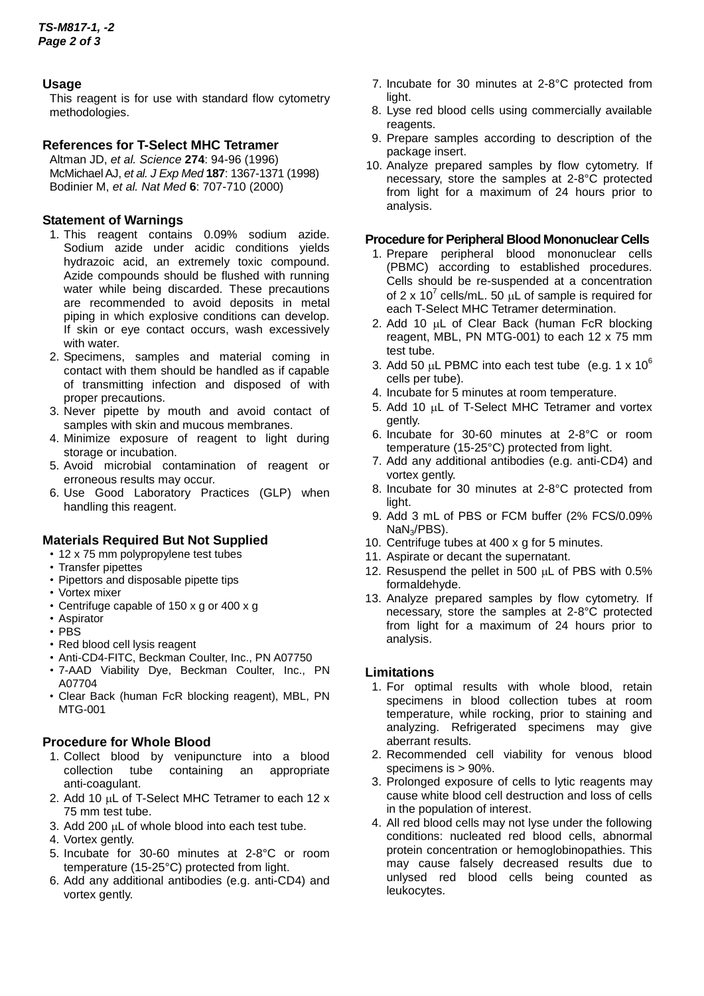# **Usage**

This reagent is for use with standard flow cytometry methodologies.

# **References for T-Select MHC Tetramer**

Altman JD, *et al. Science* **274**: 94-96 (1996) McMichael AJ, *et al. J Exp Med* **187**: 1367-1371 (1998) Bodinier M, *et al. Nat Med* **6**: 707-710 (2000)

# **Statement of Warnings**

- 1. This reagent contains 0.09% sodium azide. Sodium azide under acidic conditions yields hydrazoic acid, an extremely toxic compound. Azide compounds should be flushed with running water while being discarded. These precautions are recommended to avoid deposits in metal piping in which explosive conditions can develop. If skin or eye contact occurs, wash excessively with water.
- 2. Specimens, samples and material coming in contact with them should be handled as if capable of transmitting infection and disposed of with proper precautions.
- 3. Never pipette by mouth and avoid contact of samples with skin and mucous membranes.
- 4. Minimize exposure of reagent to light during storage or incubation.
- 5. Avoid microbial contamination of reagent or erroneous results may occur.
- 6. Use Good Laboratory Practices (GLP) when handling this reagent.

# **Materials Required But Not Supplied**

- 12 x 75 mm polypropylene test tubes
- Transfer pipettes
- Pipettors and disposable pipette tips
- Vortex mixer
- Centrifuge capable of 150 x g or 400 x g
- Aspirator
- PBS
- Red blood cell lysis reagent
- Anti-CD4-FITC, Beckman Coulter, Inc., PN A07750
- 7-AAD Viability Dye, Beckman Coulter, Inc., PN A07704
- Clear Back (human FcR blocking reagent), MBL, PN MTG-001

# **Procedure for Whole Blood**

- 1. Collect blood by venipuncture into a blood collection tube containing an appropriate anti-coagulant.
- 2. Add 10  $\mu$ L of T-Select MHC Tetramer to each 12 x 75 mm test tube.
- 3. Add 200 µL of whole blood into each test tube.
- 4. Vortex gently.
- 5. Incubate for 30-60 minutes at 2-8°C or room temperature (15-25°C) protected from light.
- 6. Add any additional antibodies (e.g. anti-CD4) and vortex gently.
- 7. Incubate for 30 minutes at 2-8°C protected from light.
- 8. Lyse red blood cells using commercially available reagents.
- 9. Prepare samples according to description of the package insert.
- 10. Analyze prepared samples by flow cytometry. If necessary, store the samples at 2-8°C protected from light for a maximum of 24 hours prior to analysis.

## **Procedure for Peripheral Blood Mononuclear Cells**

- 1. Prepare peripheral blood mononuclear cells (PBMC) according to established procedures. Cells should be re-suspended at a concentration of 2 x 10<sup>7</sup> cells/mL. 50  $\mu$ L of sample is required for each T-Select MHC Tetramer determination.
- 2. Add 10  $\mu$ L of Clear Back (human FcR blocking reagent, MBL, PN MTG-001) to each 12 x 75 mm test tube.
- 3. Add 50  $\mu$ L PBMC into each test tube (e.g. 1 x 10<sup>6</sup>) cells per tube).
- 4. Incubate for 5 minutes at room temperature.
- 5. Add 10  $\mu$ L of T-Select MHC Tetramer and vortex gently.
- 6. Incubate for 30-60 minutes at 2-8°C or room temperature (15-25°C) protected from light.
- 7. Add any additional antibodies (e.g. anti-CD4) and vortex gently.
- 8. Incubate for 30 minutes at 2-8°C protected from light.
- 9. Add 3 mL of PBS or FCM buffer (2% FCS/0.09% NaN3/PBS).
- 10. Centrifuge tubes at 400 x g for 5 minutes.
- 11. Aspirate or decant the supernatant.
- 12. Resuspend the pellet in 500  $\mu$ L of PBS with 0.5% formaldehyde.
- 13. Analyze prepared samples by flow cytometry. If necessary, store the samples at 2-8°C protected from light for a maximum of 24 hours prior to analysis.

# **Limitations**

- 1. For optimal results with whole blood, retain specimens in blood collection tubes at room temperature, while rocking, prior to staining and analyzing. Refrigerated specimens may give aberrant results.
- 2. Recommended cell viability for venous blood specimens is > 90%.
- 3. Prolonged exposure of cells to lytic reagents may cause white blood cell destruction and loss of cells in the population of interest.
- 4. All red blood cells may not lyse under the following conditions: nucleated red blood cells, abnormal protein concentration or hemoglobinopathies. This may cause falsely decreased results due to unlysed red blood cells being counted as leukocytes.